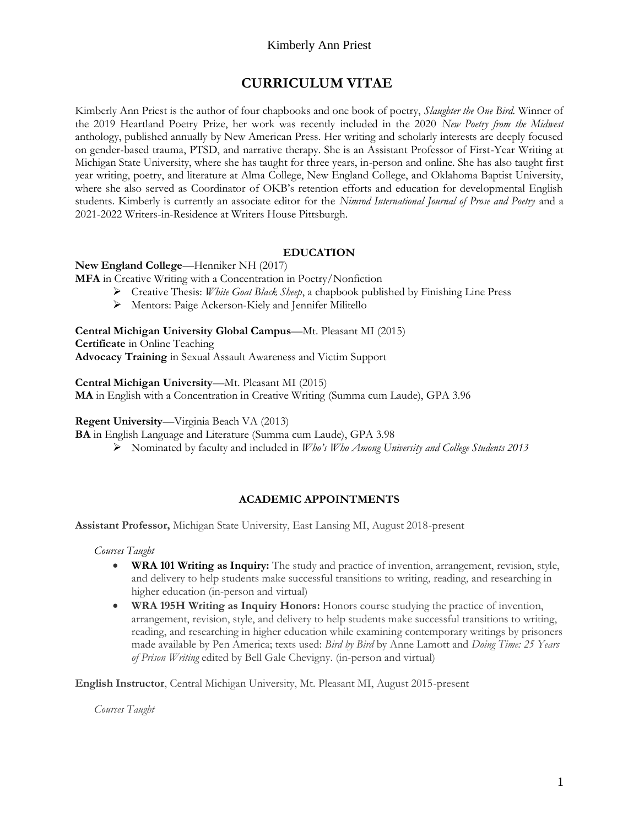# **CURRICULUM VITAE**

Kimberly Ann Priest is the author of four chapbooks and one book of poetry, *Slaughter the One Bird.* Winner of the 2019 Heartland Poetry Prize, her work was recently included in the 2020 *New Poetry from the Midwest* anthology, published annually by New American Press. Her writing and scholarly interests are deeply focused on gender-based trauma, PTSD, and narrative therapy. She is an Assistant Professor of First-Year Writing at Michigan State University, where she has taught for three years, in-person and online. She has also taught first year writing, poetry, and literature at Alma College, New England College, and Oklahoma Baptist University, where she also served as Coordinator of OKB's retention efforts and education for developmental English students. Kimberly is currently an associate editor for the *Nimrod International Journal of Prose and Poetry* and a 2021-2022 Writers-in-Residence at Writers House Pittsburgh.

## **EDUCATION**

#### **New England College**—Henniker NH (2017)

**MFA** in Creative Writing with a Concentration in Poetry/Nonfiction

- ➢ Creative Thesis: *White Goat Black Sheep*, a chapbook published by Finishing Line Press
- ➢ Mentors: Paige Ackerson-Kiely and Jennifer Militello

**Central Michigan University Global Campus**—Mt. Pleasant MI (2015) **Certificate** in Online Teaching **Advocacy Training** in Sexual Assault Awareness and Victim Support

**Central Michigan University**—Mt. Pleasant MI (2015)

**MA** in English with a Concentration in Creative Writing (Summa cum Laude), GPA 3.96

#### **Regent University**—Virginia Beach VA (2013)

**BA** in English Language and Literature (Summa cum Laude), GPA 3.98

➢ Nominated by faculty and included in *Who's Who Among University and College Students 2013*

#### **ACADEMIC APPOINTMENTS**

**Assistant Professor,** Michigan State University, East Lansing MI, August 2018-present

*Courses Taught*

- **WRA 101 Writing as Inquiry:** The study and practice of invention, arrangement, revision, style, and delivery to help students make successful transitions to writing, reading, and researching in higher education (in-person and virtual)
- **WRA 195H Writing as Inquiry Honors:** Honors course studying the practice of invention, arrangement, revision, style, and delivery to help students make successful transitions to writing, reading, and researching in higher education while examining contemporary writings by prisoners made available by Pen America; texts used: *Bird by Bird* by Anne Lamott and *Doing Time: 25 Years of Prison Writing* edited by Bell Gale Chevigny. (in-person and virtual)

**English Instructor**, Central Michigan University, Mt. Pleasant MI, August 2015-present

*Courses Taught*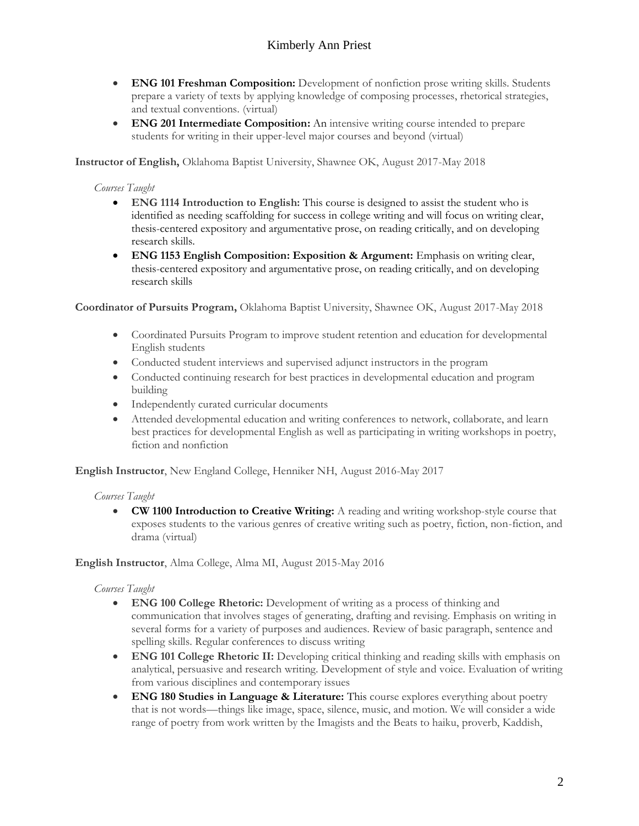- **ENG 101 Freshman Composition:** Development of nonfiction prose writing skills. Students prepare a variety of texts by applying knowledge of composing processes, rhetorical strategies, and textual conventions. (virtual)
- **ENG 201 Intermediate Composition:** An intensive writing course intended to prepare students for writing in their upper-level major courses and beyond (virtual)

**Instructor of English,** Oklahoma Baptist University, Shawnee OK, August 2017-May 2018

#### *Courses Taught*

- **ENG 1114 Introduction to English:** This course is designed to assist the student who is identified as needing scaffolding for success in college writing and will focus on writing clear, thesis-centered expository and argumentative prose, on reading critically, and on developing research skills.
- **ENG 1153 English Composition: Exposition & Argument:** Emphasis on writing clear, thesis-centered expository and argumentative prose, on reading critically, and on developing research skills

**Coordinator of Pursuits Program,** Oklahoma Baptist University, Shawnee OK, August 2017-May 2018

- Coordinated Pursuits Program to improve student retention and education for developmental English students
- Conducted student interviews and supervised adjunct instructors in the program
- Conducted continuing research for best practices in developmental education and program building
- Independently curated curricular documents
- Attended developmental education and writing conferences to network, collaborate, and learn best practices for developmental English as well as participating in writing workshops in poetry, fiction and nonfiction

**English Instructor**, New England College, Henniker NH, August 2016-May 2017

## *Courses Taught*

• **CW 1100 Introduction to Creative Writing:** A reading and writing workshop-style course that exposes students to the various genres of creative writing such as poetry, fiction, non-fiction, and drama (virtual)

#### **English Instructor**, Alma College, Alma MI, August 2015-May 2016

#### *Courses Taught*

- **ENG 100 College Rhetoric:** Development of writing as a process of thinking and communication that involves stages of generating, drafting and revising. Emphasis on writing in several forms for a variety of purposes and audiences. Review of basic paragraph, sentence and spelling skills. Regular conferences to discuss writing
- **ENG 101 College Rhetoric II:** Developing critical thinking and reading skills with emphasis on analytical, persuasive and research writing. Development of style and voice. Evaluation of writing from various disciplines and contemporary issues
- **ENG 180 Studies in Language & Literature:** This course explores everything about poetry that is not words—things like image, space, silence, music, and motion. We will consider a wide range of poetry from work written by the Imagists and the Beats to haiku, proverb, Kaddish,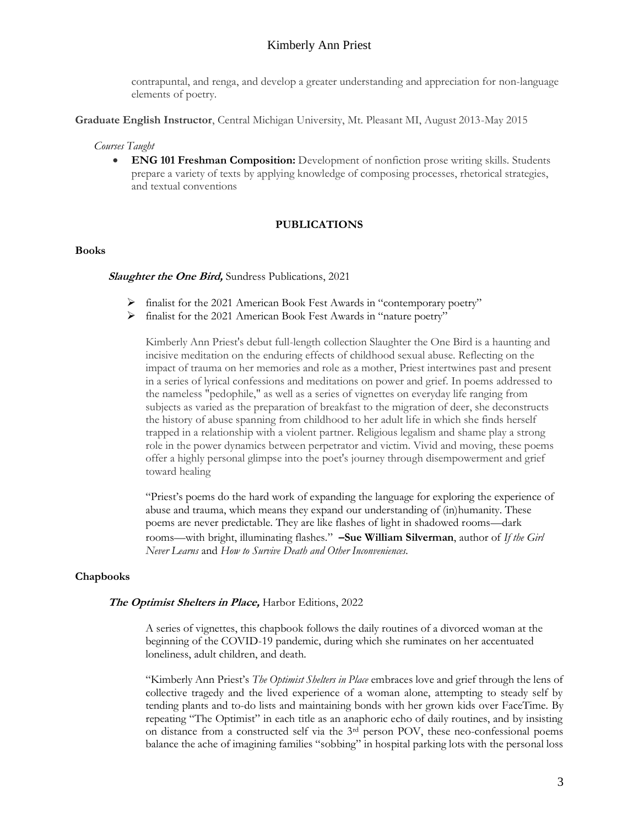contrapuntal, and renga, and develop a greater understanding and appreciation for non-language elements of poetry.

**Graduate English Instructor**, Central Michigan University, Mt. Pleasant MI, August 2013-May 2015

#### *Courses Taught*

• **ENG 101 Freshman Composition:** Development of nonfiction prose writing skills. Students prepare a variety of texts by applying knowledge of composing processes, rhetorical strategies, and textual conventions

#### **PUBLICATIONS**

#### **Books**

#### **Slaughter the One Bird,** Sundress Publications, 2021

- ➢ finalist for the 2021 American Book Fest Awards in "contemporary poetry"
- ➢ finalist for the 2021 American Book Fest Awards in "nature poetry"

Kimberly Ann Priest's debut full-length collection Slaughter the One Bird is a haunting and incisive meditation on the enduring effects of childhood sexual abuse. Reflecting on the impact of trauma on her memories and role as a mother, Priest intertwines past and present in a series of lyrical confessions and meditations on power and grief. In poems addressed to the nameless "pedophile," as well as a series of vignettes on everyday life ranging from subjects as varied as the preparation of breakfast to the migration of deer, she deconstructs the history of abuse spanning from childhood to her adult life in which she finds herself trapped in a relationship with a violent partner. Religious legalism and shame play a strong role in the power dynamics between perpetrator and victim. Vivid and moving, these poems offer a highly personal glimpse into the poet's journey through disempowerment and grief toward healing

"Priest's poems do the hard work of expanding the language for exploring the experience of abuse and trauma, which means they expand our understanding of (in)humanity. These poems are never predictable. They are like flashes of light in shadowed rooms—dark rooms—with bright, illuminating flashes." **–Sue William Silverman**, author of *If the Girl Never Learns* and *How to Survive Death and Other Inconveniences.*

#### **Chapbooks**

#### **The Optimist Shelters in Place,** Harbor Editions, 2022

A series of vignettes, this chapbook follows the daily routines of a divorced woman at the beginning of the COVID-19 pandemic, during which she ruminates on her accentuated loneliness, adult children, and death.

"Kimberly Ann Priest's *The Optimist Shelters in Place* embraces love and grief through the lens of collective tragedy and the lived experience of a woman alone, attempting to steady self by tending plants and to-do lists and maintaining bonds with her grown kids over FaceTime. By repeating "The Optimist" in each title as an anaphoric echo of daily routines, and by insisting on distance from a constructed self via the 3rd person POV, these neo-confessional poems balance the ache of imagining families "sobbing" in hospital parking lots with the personal loss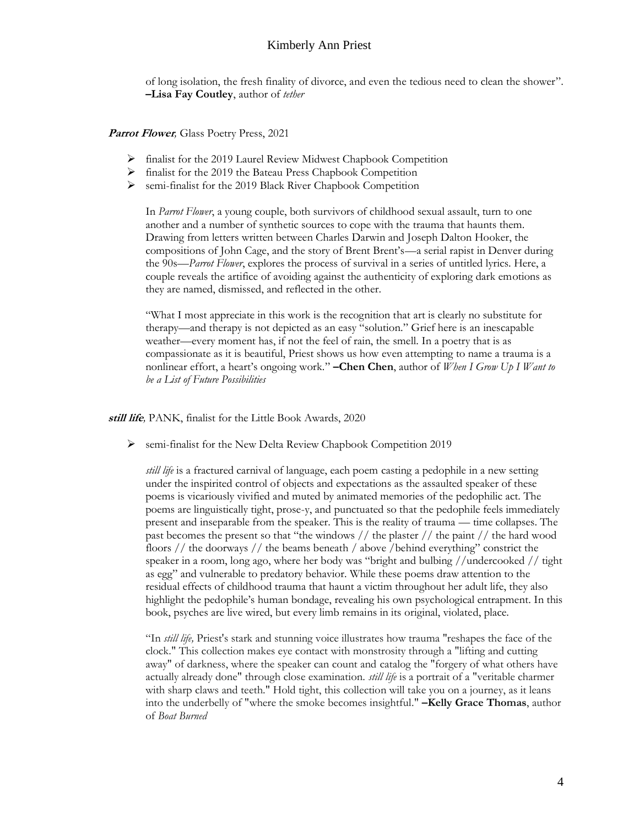of long isolation, the fresh finality of divorce, and even the tedious need to clean the shower". **–Lisa Fay Coutley**, author of *tether*

**Parrot Flower***,* Glass Poetry Press, 2021

- ➢ finalist for the 2019 Laurel Review Midwest Chapbook Competition
- ➢ finalist for the 2019 the Bateau Press Chapbook Competition
- ➢ semi-finalist for the 2019 Black River Chapbook Competition

In *Parrot Flower*, a young couple, both survivors of childhood sexual assault, turn to one another and a number of synthetic sources to cope with the trauma that haunts them. Drawing from letters written between Charles Darwin and Joseph Dalton Hooker, the compositions of John Cage, and the story of Brent Brent's—a serial rapist in Denver during the 90s—*Parrot Flower*, explores the process of survival in a series of untitled lyrics. Here, a couple reveals the artifice of avoiding against the authenticity of exploring dark emotions as they are named, dismissed, and reflected in the other.

"What I most appreciate in this work is the recognition that art is clearly no substitute for therapy—and therapy is not depicted as an easy "solution." Grief here is an inescapable weather—every moment has, if not the feel of rain, the smell. In a poetry that is as compassionate as it is beautiful, Priest shows us how even attempting to name a trauma is a nonlinear effort, a heart's ongoing work." **–Chen Chen**, author of *When I Grow Up I Want to be a List of Future Possibilities*

**still life***,* PANK, finalist for the Little Book Awards, 2020

➢ semi-finalist for the New Delta Review Chapbook Competition 2019

*still life* is a fractured carnival of language, each poem casting a pedophile in a new setting under the inspirited control of objects and expectations as the assaulted speaker of these poems is vicariously vivified and muted by animated memories of the pedophilic act. The poems are linguistically tight, prose-y, and punctuated so that the pedophile feels immediately present and inseparable from the speaker. This is the reality of trauma — time collapses. The past becomes the present so that "the windows // the plaster // the paint // the hard wood floors // the doorways // the beams beneath / above /behind everything" constrict the speaker in a room, long ago, where her body was "bright and bulbing //undercooked // tight as egg" and vulnerable to predatory behavior. While these poems draw attention to the residual effects of childhood trauma that haunt a victim throughout her adult life, they also highlight the pedophile's human bondage, revealing his own psychological entrapment. In this book, psyches are live wired, but every limb remains in its original, violated, place.

"In *still life,* Priest's stark and stunning voice illustrates how trauma "reshapes the face of the clock." This collection makes eye contact with monstrosity through a "lifting and cutting away" of darkness, where the speaker can count and catalog the "forgery of what others have actually already done" through close examination. *still life* is a portrait of a "veritable charmer with sharp claws and teeth." Hold tight, this collection will take you on a journey, as it leans into the underbelly of "where the smoke becomes insightful." **–Kelly Grace Thomas**, author of *Boat Burned*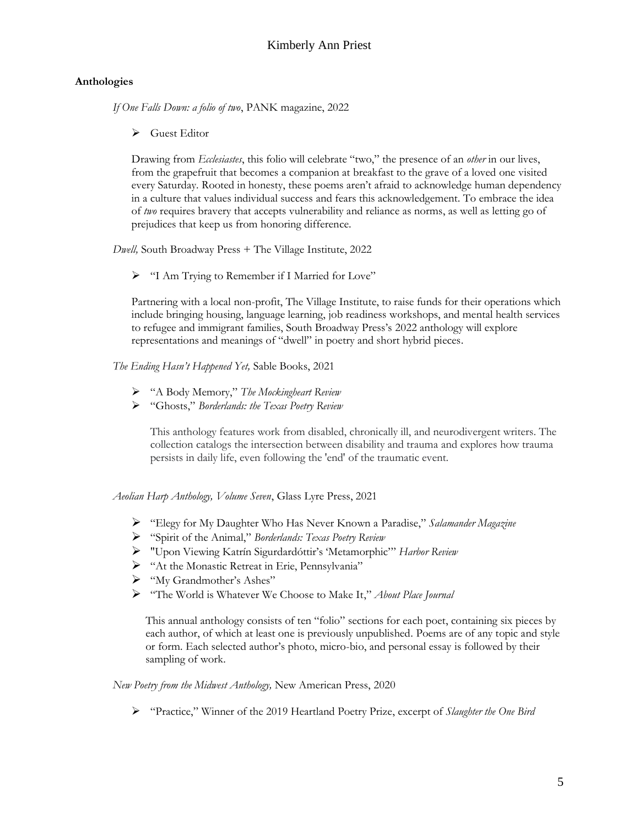#### **Anthologies**

*If One Falls Down: a folio of two*, PANK magazine, 2022

➢ Guest Editor

Drawing from *Ecclesiastes*, this folio will celebrate "two," the presence of an *other* in our lives, from the grapefruit that becomes a companion at breakfast to the grave of a loved one visited every Saturday. Rooted in honesty, these poems aren't afraid to acknowledge human dependency in a culture that values individual success and fears this acknowledgement. To embrace the idea of *two* requires bravery that accepts vulnerability and reliance as norms, as well as letting go of prejudices that keep us from honoring difference.

*Dwell,* South Broadway Press + The Village Institute, 2022

➢ "I Am Trying to Remember if I Married for Love"

Partnering with a local non-profit, The Village Institute, to raise funds for their operations which include bringing housing, language learning, job readiness workshops, and mental health services to refugee and immigrant families, South Broadway Press's 2022 anthology will explore representations and meanings of "dwell" in poetry and short hybrid pieces.

*The Ending Hasn't Happened Yet,* Sable Books, 2021

- ➢ "A Body Memory," *The Mockingheart Review*
- ➢ "Ghosts," *Borderlands: the Texas Poetry Review*

This anthology features work from disabled, chronically ill, and neurodivergent writers. The collection catalogs the intersection between disability and trauma and explores how trauma persists in daily life, even following the 'end' of the traumatic event.

*Aeolian Harp Anthology, Volume Seven*, Glass Lyre Press, 2021

- ➢ "Elegy for My Daughter Who Has Never Known a Paradise," *Salamander Magazine*
- ➢ "Spirit of the Animal," *Borderlands: Texas Poetry Review*
- ➢ "Upon Viewing Katrín Sigurdardóttir's 'Metamorphic'" *Harbor Review*
- ➢ "At the Monastic Retreat in Erie, Pennsylvania"
- ➢ "My Grandmother's Ashes"
- ➢ "The World is Whatever We Choose to Make It," *About Place Journal*

This annual anthology consists of ten "folio" sections for each poet, containing six pieces by each author, of which at least one is previously unpublished. Poems are of any topic and style or form. Each selected author's photo, micro-bio, and personal essay is followed by their sampling of work.

*New Poetry from the Midwest Anthology,* New American Press, 2020

➢ "Practice," Winner of the 2019 Heartland Poetry Prize, excerpt of *Slaughter the One Bird*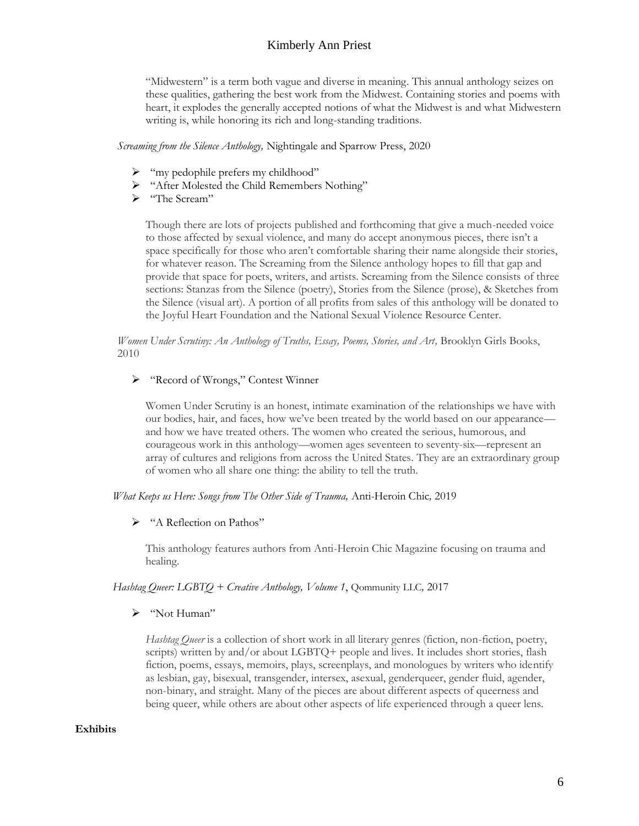"Midwestern" is a term both vague and diverse in meaning. This annual anthology seizes on these qualities, gathering the best work from the Midwest. Containing stories and poems with heart, it explodes the generally accepted notions of what the Midwest is and what Midwestern writing is, while honoring its rich and long-standing traditions.

*Screaming from the Silence Anthology,* Nightingale and Sparrow Press, 2020

- ➢ "my pedophile prefers my childhood"
- ➢ "After Molested the Child Remembers Nothing"
- ➢ "The Scream"

Though there are lots of projects published and forthcoming that give a much-needed voice to those affected by sexual violence, and many do accept anonymous pieces, there isn't a space specifically for those who aren't comfortable sharing their name alongside their stories, for whatever reason. The Screaming from the Silence anthology hopes to fill that gap and provide that space for poets, writers, and artists. Screaming from the Silence consists of three sections: Stanzas from the Silence (poetry), Stories from the Silence (prose), & Sketches from the Silence (visual art). A portion of all profits from sales of this anthology will be donated to the Joyful Heart Foundation and the National Sexual Violence Resource Center.

*Women Under Scrutiny: An Anthology of Truths, Essay, Poems, Stories, and Art,* Brooklyn Girls Books, 2010

#### ➢ "Record of Wrongs," Contest Winner

Women Under Scrutiny is an honest, intimate examination of the relationships we have with our bodies, hair, and faces, how we've been treated by the world based on our appearance and how we have treated others. The women who created the serious, humorous, and courageous work in this anthology—women ages seventeen to seventy-six—represent an array of cultures and religions from across the United States. They are an extraordinary group of women who all share one thing: the ability to tell the truth.

#### *What Keeps us Here: Songs from The Other Side of Trauma,* Anti-Heroin Chic*,* 2019

#### ➢ "A Reflection on Pathos"

This anthology features authors from Anti-Heroin Chic Magazine focusing on trauma and healing.

#### *Hashtag Queer: LGBTQ + Creative Anthology, Volume 1*, Qommunity LLC*,* 2017

➢ "Not Human"

*Hashtag Queer* is a collection of short work in all literary genres (fiction, non-fiction, poetry, scripts) written by and/or about LGBTQ+ people and lives. It includes short stories, flash fiction, poems, essays, memoirs, plays, screenplays, and monologues by writers who identify as lesbian, gay, bisexual, transgender, intersex, asexual, genderqueer, gender fluid, agender, non-binary, and straight. Many of the pieces are about different aspects of queerness and being queer, while others are about other aspects of life experienced through a queer lens.

#### **Exhibits**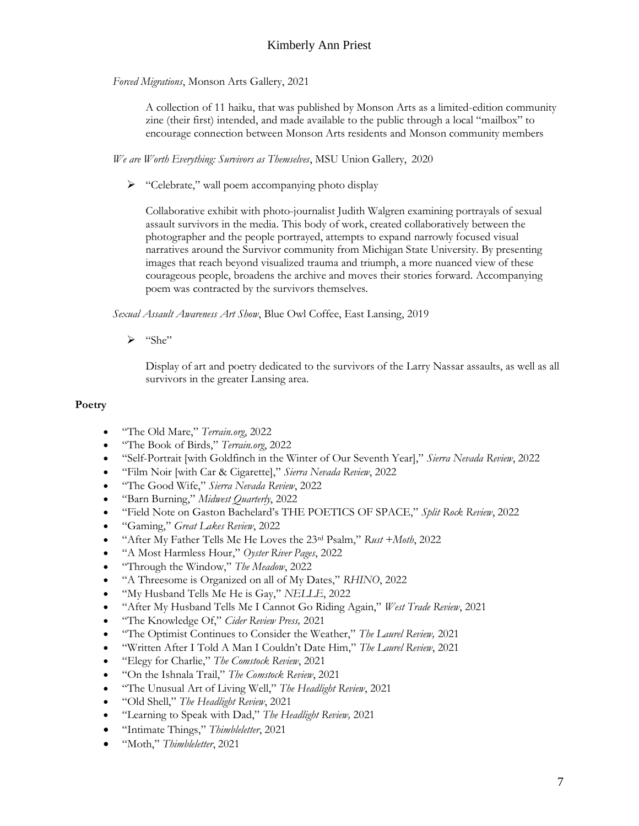*Forced Migrations*, Monson Arts Gallery, 2021

A collection of 11 haiku, that was published by Monson Arts as a limited-edition community zine (their first) intended, and made available to the public through a local "mailbox" to encourage connection between Monson Arts residents and Monson community members

*We are Worth Everything: Survivors as Themselves*, MSU Union Gallery, 2020

➢ "Celebrate," wall poem accompanying photo display

Collaborative exhibit with photo-journalist Judith Walgren examining portrayals of sexual assault survivors in the media. This body of work, created collaboratively between the photographer and the people portrayed, attempts to expand narrowly focused visual narratives around the Survivor community from Michigan State University. By presenting images that reach beyond visualized trauma and triumph, a more nuanced view of these courageous people, broadens the archive and moves their stories forward. Accompanying poem was contracted by the survivors themselves.

*Sexual Assault Awareness Art Show*, Blue Owl Coffee, East Lansing, 2019

➢ "She"

Display of art and poetry dedicated to the survivors of the Larry Nassar assaults, as well as all survivors in the greater Lansing area.

## **Poetry**

- "The Old Mare," *Terrain.org*, 2022
- "The Book of Birds," *Terrain.org*, 2022
- "Self-Portrait [with Goldfinch in the Winter of Our Seventh Year]," *Sierra Nevada Review*, 2022
- "Film Noir [with Car & Cigarette]," *Sierra Nevada Review*, 2022
- "The Good Wife," *Sierra Nevada Review*, 2022
- "Barn Burning," *Midwest Quarterly*, 2022
- "Field Note on Gaston Bachelard's THE POETICS OF SPACE," *Split Rock Review*, 2022
- "Gaming," *Great Lakes Review*, 2022
- "After My Father Tells Me He Loves the 23rd Psalm," *Rust +Moth*, 2022
- "A Most Harmless Hour," *Oyster River Pages*, 2022
- "Through the Window," *The Meadow*, 2022
- "A Threesome is Organized on all of My Dates," *RHINO*, 2022
- "My Husband Tells Me He is Gay," *NELLE*, 2022
- "After My Husband Tells Me I Cannot Go Riding Again," *West Trade Review*, 2021
- "The Knowledge Of," *Cider Review Press,* 2021
- "The Optimist Continues to Consider the Weather," *The Laurel Review,* 2021
- "Written After I Told A Man I Couldn't Date Him," *The Laurel Review*, 2021
- "Elegy for Charlie," *The Comstock Review*, 2021
- "On the Ishnala Trail," *The Comstock Review*, 2021
- "The Unusual Art of Living Well," *The Headlight Review*, 2021
- "Old Shell," *The Headlight Review*, 2021
- "Learning to Speak with Dad," *The Headlight Review,* 2021
- "Intimate Things," *Thimbleletter*, 2021
- "Moth," *Thimbleletter*, 2021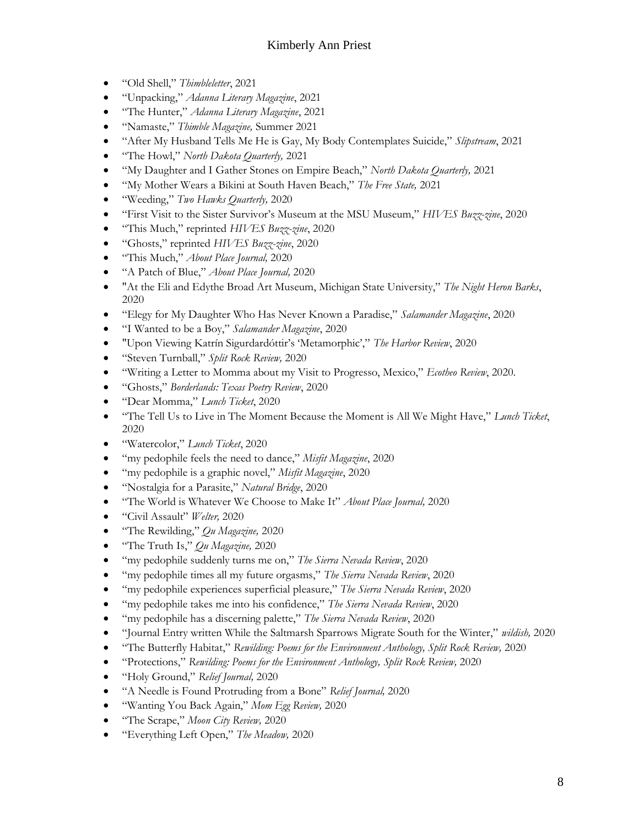- "Old Shell," *Thimbleletter*, 2021
- "Unpacking," *Adanna Literary Magazine*, 2021
- "The Hunter," *Adanna Literary Magazine*, 2021
- "Namaste," *Thimble Magazine,* Summer 2021
- "After My Husband Tells Me He is Gay, My Body Contemplates Suicide," *Slipstream*, 2021
- "The Howl," *North Dakota Quarterly,* 2021
- "My Daughter and I Gather Stones on Empire Beach," *North Dakota Quarterly,* 2021
- "My Mother Wears a Bikini at South Haven Beach," *The Free State,* 2021
- "Weeding," *Two Hawks Quarterly,* 2020
- "First Visit to the Sister Survivor's Museum at the MSU Museum," *HIVES Buzz-zine*, 2020
- "This Much," reprinted *HIVES Buzz-zine*, 2020
- "Ghosts," reprinted *HIVES Buzz-zine*, 2020
- "This Much," *About Place Journal,* 2020
- "A Patch of Blue," *About Place Journal,* 2020
- "At the Eli and Edythe Broad Art Museum, Michigan State University," *The Night Heron Barks*, 2020
- "Elegy for My Daughter Who Has Never Known a Paradise," *Salamander Magazine*, 2020
- "I Wanted to be a Boy," *Salamander Magazine*, 2020
- "Upon Viewing Katrín Sigurdardóttir's 'Metamorphic'," *The Harbor Review*, 2020
- "Steven Turnball," *Split Rock Review,* 2020
- "Writing a Letter to Momma about my Visit to Progresso, Mexico," *Ecotheo Review*, 2020.
- "Ghosts," *Borderlands: Texas Poetry Review*, 2020
- "Dear Momma," *Lunch Ticket*, 2020
- "The Tell Us to Live in The Moment Because the Moment is All We Might Have," *Lunch Ticket*, 2020
- "Watercolor," *Lunch Ticket*, 2020
- "my pedophile feels the need to dance," *Misfit Magazine*, 2020
- "my pedophile is a graphic novel," *Misfit Magazine*, 2020
- "Nostalgia for a Parasite," *Natural Bridge*, 2020
- "The World is Whatever We Choose to Make It" *About Place Journal,* 2020
- "Civil Assault" *Welter,* 2020
- "The Rewilding," *Qu Magazine,* 2020
- "The Truth Is," *Qu Magazine,* 2020
- "my pedophile suddenly turns me on," *The Sierra Nevada Review*, 2020
- "my pedophile times all my future orgasms," *The Sierra Nevada Review*, 2020
- "my pedophile experiences superficial pleasure," *The Sierra Nevada Review*, 2020
- "my pedophile takes me into his confidence," *The Sierra Nevada Review*, 2020
- "my pedophile has a discerning palette," *The Sierra Nevada Review*, 2020
- "Journal Entry written While the Saltmarsh Sparrows Migrate South for the Winter," *wildish,* 2020
- "The Butterfly Habitat," *Rewilding: Poems for the Environment Anthology, Split Rock Review,* 2020
- "Protections," *Rewilding: Poems for the Environment Anthology, Split Rock Review,* 2020
- "Holy Ground," *Relief Journal,* 2020
- "A Needle is Found Protruding from a Bone" *Relief Journal,* 2020
- "Wanting You Back Again," *Mom Egg Review,* 2020
- "The Scrape," *Moon City Review,* 2020
- "Everything Left Open," *The Meadow,* 2020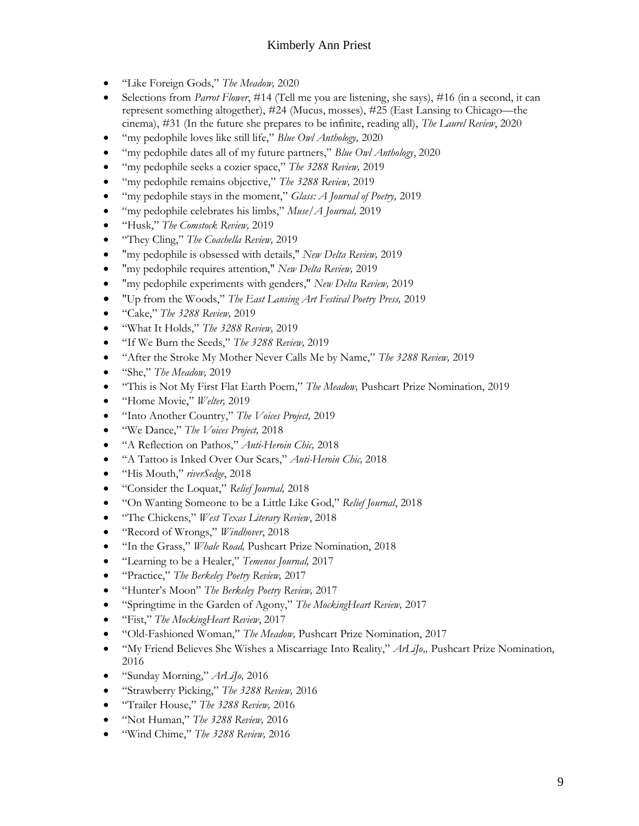- "Like Foreign Gods," *The Meadow,* 2020
- Selections from *Parrot Flower*, #14 (Tell me you are listening, she says), #16 (in a second, it can represent something altogether), #24 (Mucus, mosses), #25 (East Lansing to Chicago—the cinema), #31 (In the future she prepares to be infinite, reading all), *The Laurel Review*, 2020
- "my pedophile loves like still life," *Blue Owl Anthology,* 2020
- "my pedophile dates all of my future partners," *Blue Owl Anthology*, 2020
- "my pedophile seeks a cozier space," *The 3288 Review,* 2019
- "my pedophile remains objective," *The 3288 Review,* 2019
- "my pedophile stays in the moment," *Glass: A Journal of Poetry,* 2019
- "my pedophile celebrates his limbs," *Muse/A Journal,* 2019
- "Husk," *The Comstock Review,* 2019
- "They Cling," *The Coachella Review,* 2019
- "my pedophile is obsessed with details," *New Delta Review,* 2019
- "my pedophile requires attention," *New Delta Review,* 2019
- "my pedophile experiments with genders," *New Delta Review,* 2019
- "Up from the Woods," *The East Lansing Art Festival Poetry Press,* 2019
- "Cake," *The 3288 Review,* 2019
- "What It Holds," *The 3288 Review,* 2019
- "If We Burn the Seeds," *The 3288 Review,* 2019
- "After the Stroke My Mother Never Calls Me by Name," *The 3288 Review,* 2019
- "She," *The Meadow,* 2019
- "This is Not My First Flat Earth Poem," *The Meadow,* Pushcart Prize Nomination, 2019
- "Home Movie," *Welter,* 2019
- "Into Another Country," *The Voices Project,* 2019
- "We Dance," *The Voices Project,* 2018
- "A Reflection on Pathos," *Anti-Heroin Chic,* 2018
- "A Tattoo is Inked Over Our Scars," *Anti-Heroin Chic,* 2018
- "His Mouth," *riverSedge*, 2018
- "Consider the Loquat," *Relief Journal,* 2018
- "On Wanting Someone to be a Little Like God," *Relief Journal*, 2018
- "The Chickens," *West Texas Literary Review*, 2018
- "Record of Wrongs," *Windhover*, 2018
- "In the Grass," *Whale Road,* Pushcart Prize Nomination, 2018
- "Learning to be a Healer," *Temenos Journal,* 2017
- "Practice," *The Berkeley Poetry Review,* 2017
- "Hunter's Moon" *The Berkeley Poetry Review,* 2017
- "Springtime in the Garden of Agony," *The MockingHeart Review,* 2017
- "Fist," *The MockingHeart Review*, 2017
- "Old-Fashioned Woman," *The Meadow,* Pushcart Prize Nomination, 2017
- "My Friend Believes She Wishes a Miscarriage Into Reality," *ArLiJo,,* Pushcart Prize Nomination, 2016
- "Sunday Morning," *ArLiJo,* 2016
- "Strawberry Picking," *The 3288 Review,* 2016
- "Trailer House," *The 3288 Review,* 2016
- "Not Human," *The 3288 Review,* 2016
- "Wind Chime," *The 3288 Review,* 2016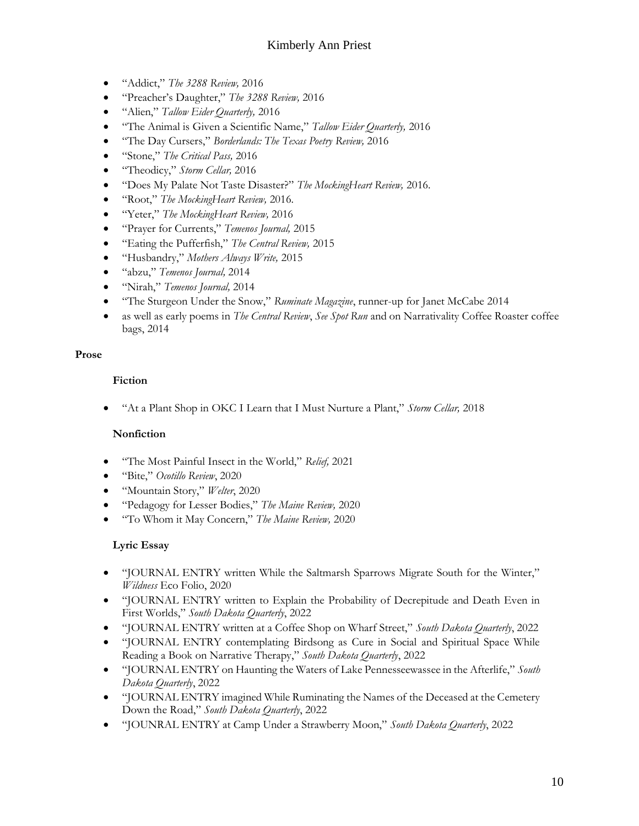- "Addict," *The 3288 Review,* 2016
- "Preacher's Daughter," *The 3288 Review,* 2016
- "Alien," *Tallow Eider Quarterly,* 2016
- "The Animal is Given a Scientific Name," *Tallow Eider Quarterly,* 2016
- "The Day Cursers," *Borderlands: The Texas Poetry Review,* 2016
- "Stone," *The Critical Pass,* 2016
- "Theodicy," *Storm Cellar,* 2016
- "Does My Palate Not Taste Disaster?" *The MockingHeart Review,* 2016.
- "Root," *The MockingHeart Review,* 2016.
- "Yeter," *The MockingHeart Review,* 2016
- "Prayer for Currents," *Temenos Journal,* 2015
- "Eating the Pufferfish," *The Central Review,* 2015
- "Husbandry," *Mothers Always Write,* 2015
- "abzu," *Temenos Journal,* 2014
- "Nirah," *Temenos Journal,* 2014
- "The Sturgeon Under the Snow," *Ruminate Magazine*, runner-up for Janet McCabe 2014
- as well as early poems in *The Central Review*, *See Spot Run* and on Narrativality Coffee Roaster coffee bags, 2014

### **Prose**

## **Fiction**

• "At a Plant Shop in OKC I Learn that I Must Nurture a Plant," *Storm Cellar,* 2018

## **Nonfiction**

- "The Most Painful Insect in the World," *Relief,* 2021
- "Bite," *Ocotillo Review*, 2020
- "Mountain Story," *Welter*, 2020
- "Pedagogy for Lesser Bodies," *The Maine Review,* 2020
- "To Whom it May Concern," *The Maine Review,* 2020

## **Lyric Essay**

- "JOURNAL ENTRY written While the Saltmarsh Sparrows Migrate South for the Winter," *Wildness* Eco Folio, 2020
- "JOURNAL ENTRY written to Explain the Probability of Decrepitude and Death Even in First Worlds," *South Dakota Quarterly*, 2022
- "JOURNAL ENTRY written at a Coffee Shop on Wharf Street," *South Dakota Quarterly*, 2022
- "JOURNAL ENTRY contemplating Birdsong as Cure in Social and Spiritual Space While Reading a Book on Narrative Therapy," *South Dakota Quarterly*, 2022
- "JOURNAL ENTRY on Haunting the Waters of Lake Pennesseewassee in the Afterlife," *South Dakota Quarterly*, 2022
- "JOURNAL ENTRY imagined While Ruminating the Names of the Deceased at the Cemetery Down the Road," *South Dakota Quarterly*, 2022
- "JOUNRAL ENTRY at Camp Under a Strawberry Moon," *South Dakota Quarterly*, 2022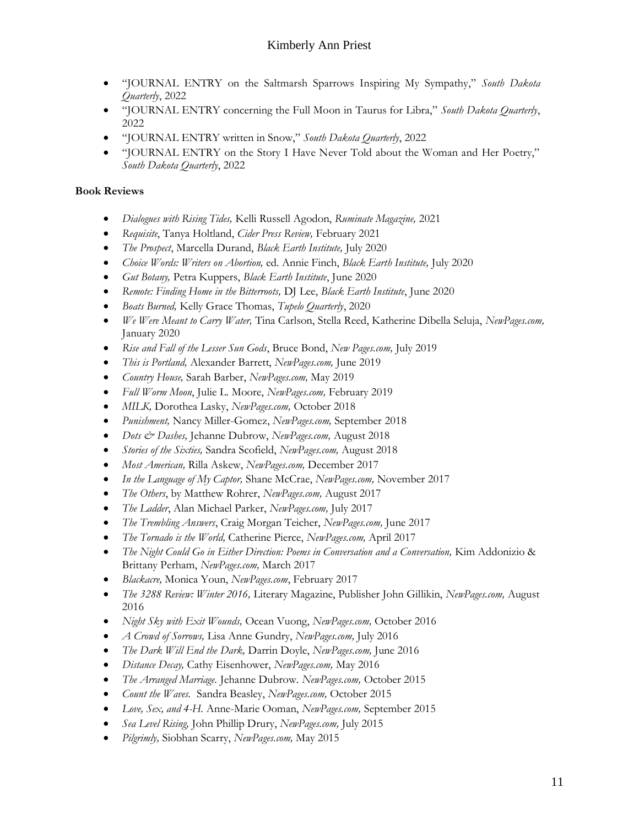- "JOURNAL ENTRY on the Saltmarsh Sparrows Inspiring My Sympathy," *South Dakota Quarterly*, 2022
- "JOURNAL ENTRY concerning the Full Moon in Taurus for Libra," *South Dakota Quarterly*, 2022
- "JOURNAL ENTRY written in Snow," *South Dakota Quarterly*, 2022
- "JOURNAL ENTRY on the Story I Have Never Told about the Woman and Her Poetry," *South Dakota Quarterly*, 2022

## **Book Reviews**

- *Dialogues with Rising Tides,* Kelli Russell Agodon, *Ruminate Magazine,* 2021
- *Requisite*, Tanya Holtland, *Cider Press Review,* February 2021
- *The Prospect*, Marcella Durand, *Black Earth Institute,* July 2020
- *Choice Words: Writers on Abortion,* ed. Annie Finch, *Black Earth Institute,* July 2020
- *Gut Botany,* Petra Kuppers, *Black Earth Institute*, June 2020
- *Remote: Finding Home in the Bitterroots,* DJ Lee, *Black Earth Institute*, June 2020
- *Boats Burned,* Kelly Grace Thomas, *Tupelo Quarterly*, 2020
- *We Were Meant to Carry Water,* Tina Carlson, Stella Reed, Katherine Dibella Seluja, *NewPages.com,*  January 2020
- *Rise and Fall of the Lesser Sun Gods*, Bruce Bond, *New Pages.com,* July 2019
- *This is Portland,* Alexander Barrett, *NewPages.com,* June 2019
- *Country House,* Sarah Barber, *NewPages.com,* May 2019
- *Full Worm Moon*, Julie L. Moore, *NewPages.com,* February 2019
- *MILK,* Dorothea Lasky, *NewPages.com,* October 2018
- *Punishment,* Nancy Miller-Gomez, *NewPages.com,* September 2018
- *Dots & Dashes,* Jehanne Dubrow, *NewPages.com,* August 2018
- *Stories of the Sixties,* Sandra Scofield, *NewPages.com,* August 2018
- *Most American,* Rilla Askew, *NewPages.com,* December 2017
- *In the Language of My Captor,* Shane McCrae, *NewPages.com,* November 2017
- *The Others*, by Matthew Rohrer, *NewPages.com,* August 2017
- *The Ladder*, Alan Michael Parker, *NewPages.com,* July 2017
- *The Trembling Answers*, Craig Morgan Teicher, *NewPages.com,* June 2017
- *The Tornado is the World,* Catherine Pierce, *NewPages.com,* April 2017
- *The Night Could Go in Either Direction: Poems in Conversation and a Conversation,* Kim Addonizio & Brittany Perham, *NewPages.com,* March 2017
- *Blackacre,* Monica Youn, *NewPages.com*, February 2017
- *The 3288 Review: Winter 2016,* Literary Magazine, Publisher John Gillikin, *NewPages.com,* August 2016
- *Night Sky with Exit Wounds,* Ocean Vuong, *NewPages.com,* October 2016
- *A Crowd of Sorrows,* Lisa Anne Gundry, *NewPages.com,* July 2016
- *The Dark Will End the Dark,* Darrin Doyle, *NewPages.com,* June 2016
- *Distance Decay,* Cathy Eisenhower, *NewPages.com,* May 2016
- *The Arranged Marriage.* Jehanne Dubrow. *NewPages.com,* October 2015
- *Count the Waves.* Sandra Beasley, *NewPages.com,* October 2015
- *Love, Sex, and 4-H.* Anne-Marie Ooman, *NewPages.com,* September 2015
- *Sea Level Rising,* John Phillip Drury, *NewPages.com,* July 2015
- *Pilgrimly,* Siobhan Scarry, *NewPages.com,* May 2015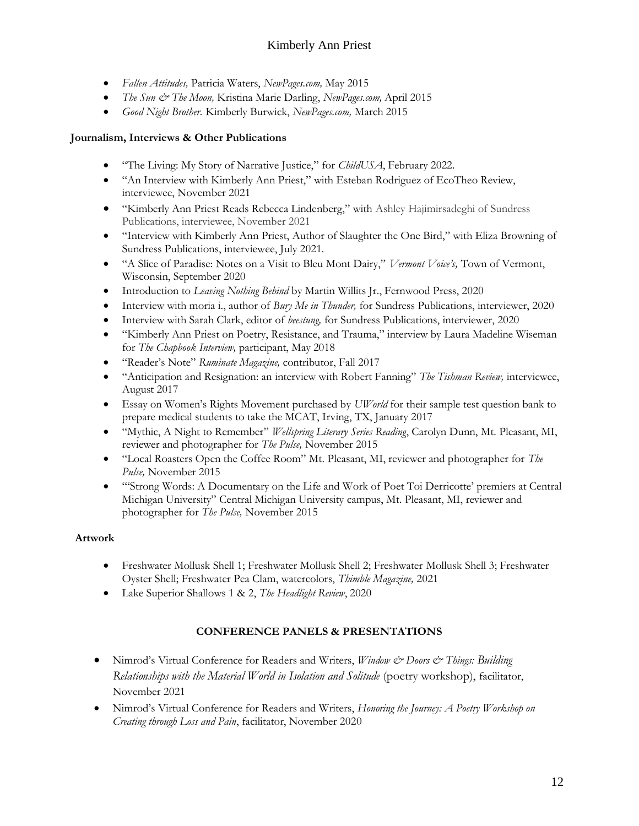- *Fallen Attitudes,* Patricia Waters, *NewPages.com,* May 2015
- *The Sun & The Moon,* Kristina Marie Darling, *NewPages.com,* April 2015
- *Good Night Brother.* Kimberly Burwick, *NewPages.com,* March 2015

## **Journalism, Interviews & Other Publications**

- "The Living: My Story of Narrative Justice," for *ChildUSA*, February 2022.
- "An Interview with Kimberly Ann Priest," with Esteban Rodriguez of EcoTheo Review, interviewee, November 2021
- "Kimberly Ann Priest Reads Rebecca Lindenberg," with Ashley Hajimirsadeghi of Sundress Publications, interviewee, November 2021
- "Interview with Kimberly Ann Priest, Author of Slaughter the One Bird," with Eliza Browning of Sundress Publications, interviewee, July 2021.
- "A Slice of Paradise: Notes on a Visit to Bleu Mont Dairy," *Vermont Voice's,* Town of Vermont, Wisconsin, September 2020
- Introduction to *Leaving Nothing Behind* by Martin Willits Jr., Fernwood Press, 2020
- Interview with moria i., author of *Bury Me in Thunder,* for Sundress Publications, interviewer, 2020
- Interview with Sarah Clark, editor of *beestung,* for Sundress Publications, interviewer, 2020
- "Kimberly Ann Priest on Poetry, Resistance, and Trauma," interview by Laura Madeline Wiseman for *The Chapbook Interview,* participant, May 2018
- "Reader's Note" *Ruminate Magazine,* contributor, Fall 2017
- "Anticipation and Resignation: an interview with Robert Fanning" *The Tishman Review,* interviewee, August 2017
- Essay on Women's Rights Movement purchased by *UWorld* for their sample test question bank to prepare medical students to take the MCAT, Irving, TX, January 2017
- "Mythic, A Night to Remember" *Wellspring Literary Series Reading*, Carolyn Dunn, Mt. Pleasant, MI, reviewer and photographer for *The Pulse,* November 2015
- "Local Roasters Open the Coffee Room" Mt. Pleasant, MI, reviewer and photographer for *The Pulse,* November 2015
- "'Strong Words: A Documentary on the Life and Work of Poet Toi Derricotte' premiers at Central Michigan University" Central Michigan University campus, Mt. Pleasant, MI, reviewer and photographer for *The Pulse,* November 2015

## **Artwork**

- Freshwater Mollusk Shell 1; Freshwater Mollusk Shell 2; Freshwater Mollusk Shell 3; Freshwater Oyster Shell; Freshwater Pea Clam, watercolors, *Thimble Magazine,* 2021
- Lake Superior Shallows 1 & 2, *The Headlight Review*, 2020

## **CONFERENCE PANELS & PRESENTATIONS**

- Nimrod's Virtual Conference for Readers and Writers, *Window & Doors & Things: Building Relationships with the Material World in Isolation and Solitude* (poetry workshop), facilitator, November 2021
- Nimrod's Virtual Conference for Readers and Writers, *Honoring the Journey: A Poetry Workshop on Creating through Loss and Pain*, facilitator, November 2020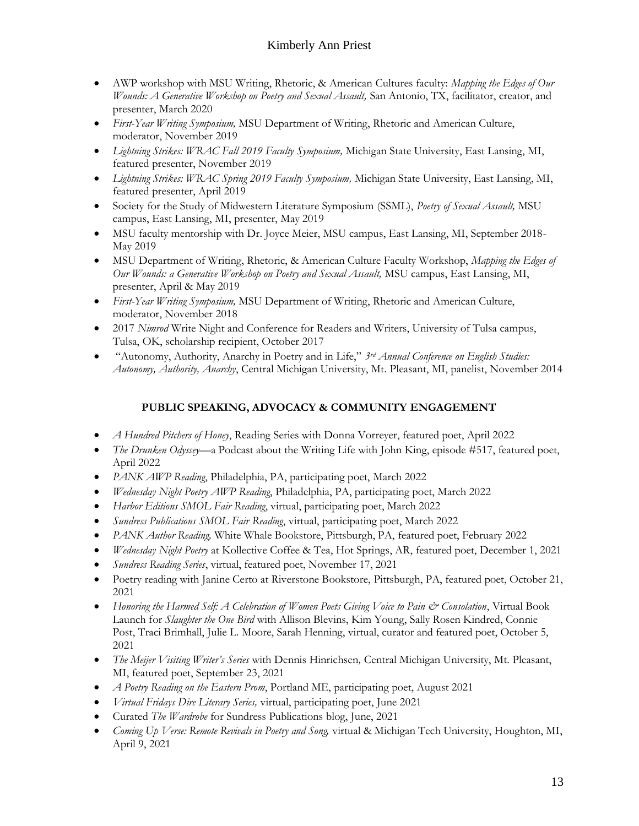- AWP workshop with MSU Writing, Rhetoric, & American Cultures faculty: *Mapping the Edges of Our Wounds: A Generative Workshop on Poetry and Sexual Assault,* San Antonio, TX, facilitator, creator, and presenter, March 2020
- *First-Year Writing Symposium,* MSU Department of Writing, Rhetoric and American Culture, moderator, November 2019
- *Lightning Strikes: WRAC Fall 2019 Faculty Symposium,* Michigan State University, East Lansing, MI, featured presenter, November 2019
- *Lightning Strikes: WRAC Spring 2019 Faculty Symposium,* Michigan State University, East Lansing, MI, featured presenter, April 2019
- Society for the Study of Midwestern Literature Symposium (SSML), *Poetry of Sexual Assault,* MSU campus, East Lansing, MI, presenter, May 2019
- MSU faculty mentorship with Dr. Joyce Meier, MSU campus, East Lansing, MI, September 2018- May 2019
- MSU Department of Writing, Rhetoric, & American Culture Faculty Workshop, *Mapping the Edges of Our Wounds: a Generative Workshop on Poetry and Sexual Assault,* MSU campus, East Lansing, MI, presenter, April & May 2019
- *First-Year Writing Symposium,* MSU Department of Writing, Rhetoric and American Culture, moderator, November 2018
- 2017 *Nimrod* Write Night and Conference for Readers and Writers, University of Tulsa campus, Tulsa, OK, scholarship recipient, October 2017
- "Autonomy, Authority, Anarchy in Poetry and in Life," *3rd Annual Conference on English Studies: Autonomy, Authority, Anarchy*, Central Michigan University, Mt. Pleasant, MI, panelist, November 2014

## **PUBLIC SPEAKING, ADVOCACY & COMMUNITY ENGAGEMENT**

- *A Hundred Pitchers of Honey*, Reading Series with Donna Vorreyer, featured poet, April 2022
- *The Drunken Odyssey*—a Podcast about the Writing Life with John King, episode #517, featured poet, April 2022
- *PANK AWP Reading*, Philadelphia, PA, participating poet, March 2022
- *Wednesday Night Poetry AWP Reading*, Philadelphia, PA, participating poet, March 2022
- *Harbor Editions SMOL Fair Reading*, virtual, participating poet, March 2022
- *Sundress Publications SMOL Fair Reading*, virtual, participating poet, March 2022
- *PANK Author Reading,* White Whale Bookstore, Pittsburgh, PA, featured poet, February 2022
- *Wednesday Night Poetry* at Kollective Coffee & Tea, Hot Springs, AR, featured poet, December 1, 2021
- *Sundress Reading Series*, virtual, featured poet, November 17, 2021
- Poetry reading with Janine Certo at Riverstone Bookstore, Pittsburgh, PA, featured poet, October 21, 2021
- Honoring the Harmed Self: A Celebration of Women Poets Giving Voice to Pain & Consolation, Virtual Book Launch for *Slaughter the One Bird* with Allison Blevins, Kim Young, Sally Rosen Kindred, Connie Post, Traci Brimhall, Julie L. Moore, Sarah Henning, virtual, curator and featured poet, October 5, 2021
- *The Meijer Visiting Writer's Series* with Dennis Hinrichsen*,* Central Michigan University, Mt. Pleasant, MI, featured poet, September 23, 2021
- *A Poetry Reading on the Eastern Prom*, Portland ME, participating poet, August 2021
- *Virtual Fridays Dire Literary Series,* virtual, participating poet, June 2021
- Curated *The Wardrobe* for Sundress Publications blog, June, 2021
- *Coming Up Verse: Remote Revivals in Poetry and Song,* virtual & Michigan Tech University, Houghton, MI, April 9, 2021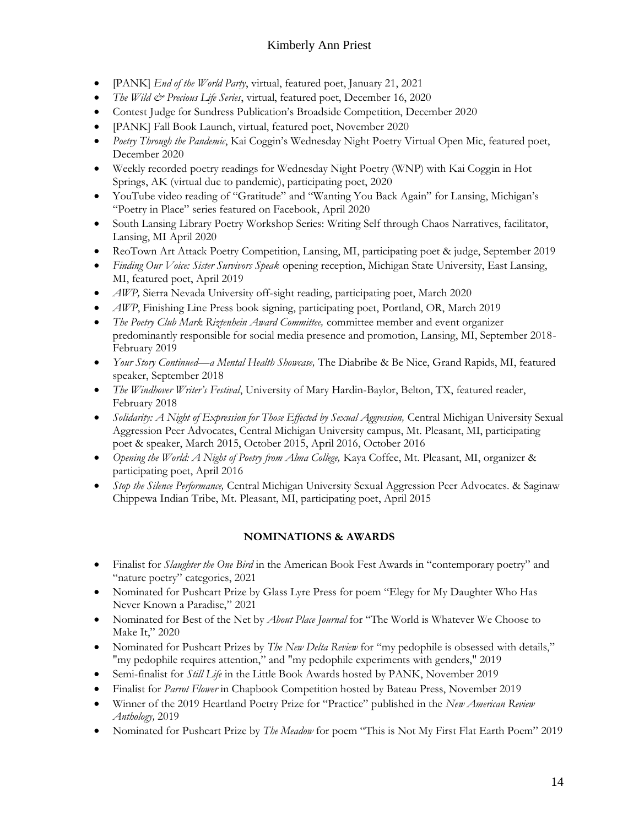- [PANK] *End of the World Party*, virtual, featured poet, January 21, 2021
- *The Wild & Precious Life Series*, virtual, featured poet, December 16, 2020
- Contest Judge for Sundress Publication's Broadside Competition, December 2020
- [PANK] Fall Book Launch, virtual, featured poet, November 2020
- *Poetry Through the Pandemic*, Kai Coggin's Wednesday Night Poetry Virtual Open Mic, featured poet, December 2020
- Weekly recorded poetry readings for Wednesday Night Poetry (WNP) with Kai Coggin in Hot Springs, AK (virtual due to pandemic), participating poet, 2020
- YouTube video reading of "Gratitude" and "Wanting You Back Again" for Lansing, Michigan's "Poetry in Place" series featured on Facebook, April 2020
- South Lansing Library Poetry Workshop Series: Writing Self through Chaos Narratives, facilitator, Lansing, MI April 2020
- ReoTown Art Attack Poetry Competition, Lansing, MI, participating poet & judge, September 2019
- *Finding Our Voice: Sister Survivors Speak* opening reception, Michigan State University, East Lansing, MI, featured poet, April 2019
- *AWP,* Sierra Nevada University off-sight reading, participating poet, March 2020
- *AWP*, Finishing Line Press book signing, participating poet, Portland, OR, March 2019
- *The Poetry Club Mark Riztenhein Award Committee,* committee member and event organizer predominantly responsible for social media presence and promotion, Lansing, MI, September 2018- February 2019
- *Your Story Continued—a Mental Health Showcase,* The Diabribe & Be Nice, Grand Rapids, MI, featured speaker, September 2018
- *The Windhover Writer's Festival*, University of Mary Hardin-Baylor, Belton, TX, featured reader, February 2018
- *Solidarity: A Night of Expression for Those Effected by Sexual Aggression*, Central Michigan University Sexual Aggression Peer Advocates, Central Michigan University campus, Mt. Pleasant, MI, participating poet & speaker, March 2015, October 2015, April 2016, October 2016
- *Opening the World: A Night of Poetry from Alma College,* Kaya Coffee, Mt. Pleasant, MI, organizer & participating poet, April 2016
- *Stop the Silence Performance,* Central Michigan University Sexual Aggression Peer Advocates. & Saginaw Chippewa Indian Tribe, Mt. Pleasant, MI, participating poet, April 2015

## **NOMINATIONS & AWARDS**

- Finalist for *Slaughter the One Bird* in the American Book Fest Awards in "contemporary poetry" and "nature poetry" categories, 2021
- Nominated for Pushcart Prize by Glass Lyre Press for poem "Elegy for My Daughter Who Has Never Known a Paradise," 2021
- Nominated for Best of the Net by *About Place Journal* for "The World is Whatever We Choose to Make It," 2020
- Nominated for Pushcart Prizes by *The New Delta Review* for "my pedophile is obsessed with details," "my pedophile requires attention," and "my pedophile experiments with genders," 2019
- Semi-finalist for *Still Life* in the Little Book Awards hosted by PANK, November 2019
- Finalist for *Parrot Flower* in Chapbook Competition hosted by Bateau Press, November 2019
- Winner of the 2019 Heartland Poetry Prize for "Practice" published in the *New American Review Anthology,* 2019
- Nominated for Pushcart Prize by *The Meadow* for poem "This is Not My First Flat Earth Poem" 2019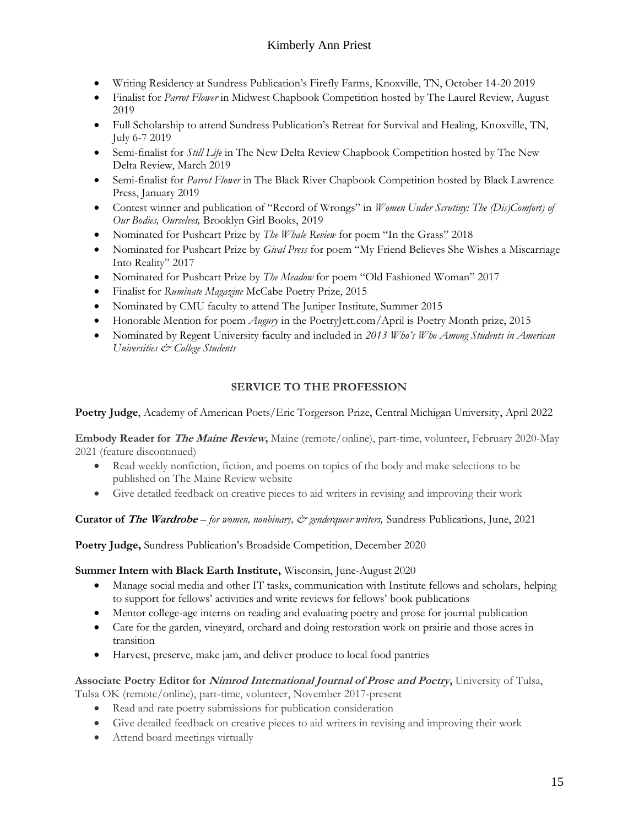- Writing Residency at Sundress Publication's Firefly Farms, Knoxville, TN, October 14-20 2019
- Finalist for *Parrot Flower* in Midwest Chapbook Competition hosted by The Laurel Review, August 2019
- Full Scholarship to attend Sundress Publication's Retreat for Survival and Healing, Knoxville, TN, July 6-7 2019
- Semi-finalist for *Still Life* in The New Delta Review Chapbook Competition hosted by The New Delta Review, March 2019
- Semi-finalist for *Parrot Flower* in The Black River Chapbook Competition hosted by Black Lawrence Press, January 2019
- Contest winner and publication of "Record of Wrongs" in *Women Under Scrutiny: The (Dis)Comfort) of Our Bodies, Ourselves,* Brooklyn Girl Books, 2019
- Nominated for Pushcart Prize by *The Whale Review* for poem "In the Grass" 2018
- Nominated for Pushcart Prize by *Gival Press* for poem "My Friend Believes She Wishes a Miscarriage Into Reality" 2017
- Nominated for Pushcart Prize by *The Meadow* for poem "Old Fashioned Woman" 2017
- Finalist for *Ruminate Magazine* McCabe Poetry Prize, 2015
- Nominated by CMU faculty to attend The Juniper Institute, Summer 2015
- Honorable Mention for poem *Augury* in the PoetryJett.com/April is Poetry Month prize, 2015
- Nominated by Regent University faculty and included in *2013 Who's Who Among Students in American Universities & College Students*

### **SERVICE TO THE PROFESSION**

**Poetry Judge**, Academy of American Poets/Eric Torgerson Prize, Central Michigan University, April 2022

**Embody Reader for The Maine Review,** Maine (remote/online), part-time, volunteer, February 2020-May 2021 (feature discontinued)

- Read weekly nonfiction, fiction, and poems on topics of the body and make selections to be published on The Maine Review website
- Give detailed feedback on creative pieces to aid writers in revising and improving their work

**Curator of The Wardrobe** *– for women, nonbinary, & genderqueer writers,* Sundress Publications, June, 2021

**Poetry Judge,** Sundress Publication's Broadside Competition, December 2020

#### **Summer Intern with Black Earth Institute,** Wisconsin, June-August 2020

- Manage social media and other IT tasks, communication with Institute fellows and scholars, helping to support for fellows' activities and write reviews for fellows' book publications
- Mentor college-age interns on reading and evaluating poetry and prose for journal publication
- Care for the garden, vineyard, orchard and doing restoration work on prairie and those acres in transition
- Harvest, preserve, make jam, and deliver produce to local food pantries

#### **Associate Poetry Editor for Nimrod International Journal of Prose and Poetry,** University of Tulsa, Tulsa OK (remote/online), part-time, volunteer, November 2017-present

- Read and rate poetry submissions for publication consideration
- Give detailed feedback on creative pieces to aid writers in revising and improving their work
- Attend board meetings virtually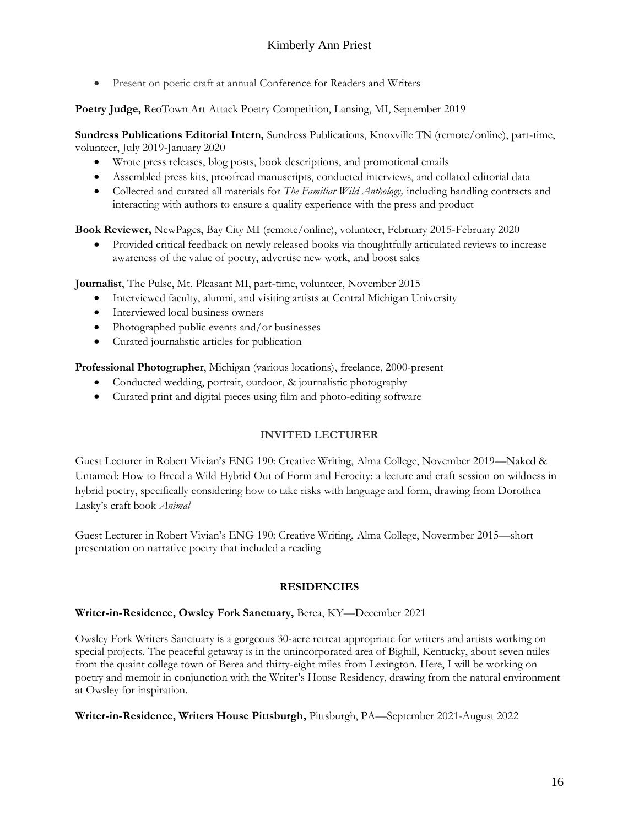• Present on poetic craft at annual Conference for Readers and Writers

**Poetry Judge,** ReoTown Art Attack Poetry Competition, Lansing, MI, September 2019

**Sundress Publications Editorial Intern,** Sundress Publications, Knoxville TN (remote/online), part-time, volunteer, July 2019-January 2020

- Wrote press releases, blog posts, book descriptions, and promotional emails
- Assembled press kits, proofread manuscripts, conducted interviews, and collated editorial data
- Collected and curated all materials for *The Familiar Wild Anthology,* including handling contracts and interacting with authors to ensure a quality experience with the press and product

**Book Reviewer,** NewPages, Bay City MI (remote/online), volunteer, February 2015-February 2020

• Provided critical feedback on newly released books via thoughtfully articulated reviews to increase awareness of the value of poetry, advertise new work, and boost sales

**Journalist**, The Pulse, Mt. Pleasant MI, part-time, volunteer, November 2015

- Interviewed faculty, alumni, and visiting artists at Central Michigan University
- Interviewed local business owners
- Photographed public events and/or businesses
- Curated journalistic articles for publication

**Professional Photographer**, Michigan (various locations), freelance, 2000-present

- Conducted wedding, portrait, outdoor, & journalistic photography
- Curated print and digital pieces using film and photo-editing software

## **INVITED LECTURER**

Guest Lecturer in Robert Vivian's ENG 190: Creative Writing, Alma College, November 2019—Naked & Untamed: How to Breed a Wild Hybrid Out of Form and Ferocity: a lecture and craft session on wildness in hybrid poetry, specifically considering how to take risks with language and form, drawing from Dorothea Lasky's craft book *Animal*

Guest Lecturer in Robert Vivian's ENG 190: Creative Writing, Alma College, Novermber 2015—short presentation on narrative poetry that included a reading

#### **RESIDENCIES**

#### **Writer-in-Residence, Owsley Fork Sanctuary,** Berea, KY—December 2021

Owsley Fork Writers Sanctuary is a gorgeous 30-acre retreat appropriate for writers and artists working on special projects. The peaceful getaway is in the unincorporated area of Bighill, Kentucky, about seven miles from the quaint college town of Berea and thirty-eight miles from Lexington. Here, I will be working on poetry and memoir in conjunction with the Writer's House Residency, drawing from the natural environment at Owsley for inspiration.

**Writer-in-Residence, Writers House Pittsburgh,** Pittsburgh, PA—September 2021-August 2022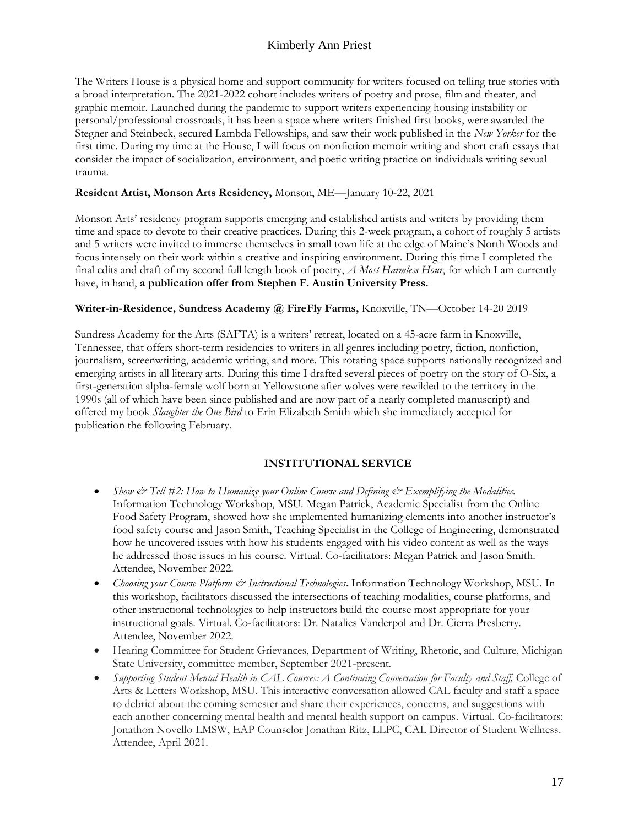The Writers House is a physical home and support community for writers focused on telling true stories with a broad interpretation. The 2021-2022 cohort includes writers of poetry and prose, film and theater, and graphic memoir. Launched during the pandemic to support writers experiencing housing instability or personal/professional crossroads, it has been a space where writers finished first books, were awarded the Stegner and Steinbeck, secured Lambda Fellowships, and saw their work published in the *New Yorker* for the first time. During my time at the House, I will focus on nonfiction memoir writing and short craft essays that consider the impact of socialization, environment, and poetic writing practice on individuals writing sexual trauma.

#### **Resident Artist, Monson Arts Residency,** Monson, ME—January 10-22, 2021

Monson Arts' residency program supports emerging and established artists and writers by providing them time and space to devote to their creative practices. During this 2-week program, a cohort of roughly 5 artists and 5 writers were invited to immerse themselves in small town life at the edge of Maine's North Woods and focus intensely on their work within a creative and inspiring environment. During this time I completed the final edits and draft of my second full length book of poetry, *A Most Harmless Hour*, for which I am currently have, in hand, **a publication offer from Stephen F. Austin University Press.**

#### **Writer-in-Residence, Sundress Academy @ FireFly Farms,** Knoxville, TN—October 14-20 2019

Sundress Academy for the Arts (SAFTA) is a writers' retreat, located on a 45-acre farm in Knoxville, Tennessee, that offers short-term residencies to writers in all genres including poetry, fiction, nonfiction, journalism, screenwriting, academic writing, and more. This rotating space supports nationally recognized and emerging artists in all literary arts. During this time I drafted several pieces of poetry on the story of O-Six, a first-generation alpha-female wolf born at Yellowstone after wolves were rewilded to the territory in the 1990s (all of which have been since published and are now part of a nearly completed manuscript) and offered my book *Slaughter the One Bird* to Erin Elizabeth Smith which she immediately accepted for publication the following February.

#### **INSTITUTIONAL SERVICE**

- *Show & Tell #2: How to Humanize your Online Course and Defining & Exemplifying the Modalities.*  Information Technology Workshop, MSU. Megan Patrick, Academic Specialist from the Online Food Safety Program, showed how she implemented humanizing elements into another instructor's food safety course and Jason Smith, Teaching Specialist in the College of Engineering, demonstrated how he uncovered issues with how his students engaged with his video content as well as the ways he addressed those issues in his course. Virtual. Co-facilitators: Megan Patrick and Jason Smith. Attendee, November 2022.
- *Choosing your Course Platform & Instructional Technologies***.** Information Technology Workshop, MSU. In this workshop, facilitators discussed the intersections of teaching modalities, course platforms, and other instructional technologies to help instructors build the course most appropriate for your instructional goals. Virtual. Co-facilitators: Dr. Natalies Vanderpol and Dr. Cierra Presberry. Attendee, November 2022.
- Hearing Committee for Student Grievances, Department of Writing, Rhetoric, and Culture, Michigan State University, committee member, September 2021-present.
- *Supporting Student Mental Health in CAL Courses: A Continuing Conversation for Faculty and Staff, College of* Arts & Letters Workshop, MSU. This interactive conversation allowed CAL faculty and staff a space to debrief about the coming semester and share their experiences, concerns, and suggestions with each another concerning mental health and mental health support on campus. Virtual. Co-facilitators: Jonathon Novello LMSW, EAP Counselor Jonathan Ritz, LLPC, CAL Director of Student Wellness. Attendee, April 2021.